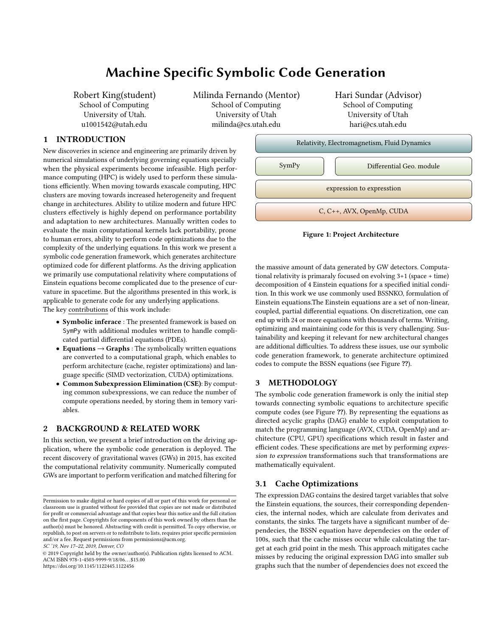# Machine Specific Symbolic Code Generation

Robert King(student) School of Computing University of Utah. u1001542@utah.edu

Milinda Fernando (Mentor) School of Computing University of Utah milinda@cs.utah.edu

Hari Sundar (Advisor) School of Computing University of Utah hari@cs.utah.edu

## 1 INTRODUCTION

New discoveries in science and engineering are primarily driven by numerical simulations of underlying governing equations specially when the physical experiments become infeasible. High performance computing (HPC) is widely used to perform these simulations efficiently. When moving towards exascale computing, HPC clusters are moving towards increased heterogeneity and frequent change in architectures. Ability to utilize modern and future HPC clusters effectively is highly depend on performance portability and adaptation to new architectures. Manually written codes to evaluate the main computational kernels lack portability, prone to human errors, ability to perform code optimizations due to the complexity of the underlying equations. In this work we present a symbolic code generation framework, which generates architecture optimized code for different platforms. As the driving application we primarily use computational relativity where computations of Einstein equations become complicated due to the presence of curvature in spacetime. But the algorithms presented in this work, is applicable to generate code for any underlying applications. The key contributions of this work include:

- Symbolic inferace : The presented framework is based on SymPy with additional modules written to handle complicated partial differential equations (PDEs).
- Equations  $\rightarrow$  Graphs : The symbolically written equations are converted to a computational graph, which enables to perform architecture (cache, register optimizations) and language specific (SIMD vectorization, CUDA) optimizations.
- Common Subexpression Elimination (CSE): By computing common subexpressions, we can reduce the number of compute operations needed, by storing them in temory variables.

## 2 BACKGROUND & RELATED WORK

In this section, we present a brief introduction on the driving application, where the symbolic code generation is deployed. The recent discovery of gravitational waves (GWs) in 2015, has excited the computational relativity community. Numerically computed GWs are important to perform verification and matched filtering for

SC '19, Nov 17–22, 2019, Denver, CO





the massive amount of data generated by GW detectors. Computational relativity is primaraly focused on evolving 3+1 (space + time) decomposition of 4 Einstein equations for a specified initial condition. In this work we use commonly used BSSNKO, formulation of Einstein equations.The Einstein equations are a set of non-linear, coupled, partial differential equations. On discretization, one can end up with 24 or more equations with thousands of terms. Writing, optimizing and maintaining code for this is very challenging. Sustainability and keeping it relevant for new architectural changes are additional difficulties. To address these issues, use our symbolic code generation framework, to generate architecture optimized codes to compute the BSSN equations (see Figure ??).

## 3 METHODOLOGY

The symbolic code generation framework is only the initial step towards connecting symbolic equations to architecture specific compute codes (see Figure ??). By representing the equations as directed acyclic graphs (DAG) enable to exploit computation to match the programming language (AVX, CUDA, OpenMp) and architecture (CPU, GPU) specifications which result in faster and efficient codes. These specifications are met by performing expression to expression transformations such that transformations are mathematically equivalent.

### 3.1 Cache Optimizations

The expression DAG contains the desired target variables that solve the Einstein equations, the sources, their corresponding dependencies, the internal nodes, which are calculate from derivates and constants, the sinks. The targets have a significant number of dependecies, the BSSN equation have dependecies on the order of 100s, such that the cache misses occur while calculating the target at each grid point in the mesh. This approach mitigates cache misses by reducing the original expression DAG into smaller sub graphs such that the number of dependencies does not exceed the

Permission to make digital or hard copies of all or part of this work for personal or classroom use is granted without fee provided that copies are not made or distributed for profit or commercial advantage and that copies bear this notice and the full citation on the first page. Copyrights for components of this work owned by others than the author(s) must be honored. Abstracting with credit is permitted. To copy otherwise, or republish, to post on servers or to redistribute to lists, requires prior specific permission and/or a fee. Request permissions from permissions@acm.org.

<sup>©</sup> 2019 Copyright held by the owner/author(s). Publication rights licensed to ACM. ACM ISBN 978-1-4503-9999-9/18/06. . . \$15.00 <https://doi.org/10.1145/1122445.1122456>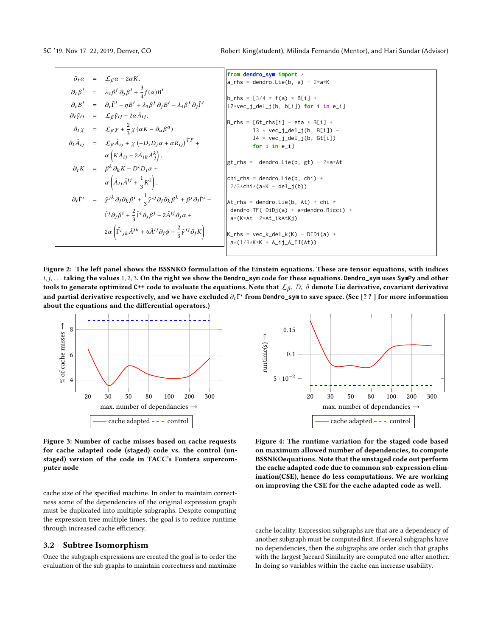|  | $\partial_t \alpha = \mathcal{L}_\beta \alpha - 2\alpha K,$                                                                                                                             | from dendro_sym import *                                        |
|--|-----------------------------------------------------------------------------------------------------------------------------------------------------------------------------------------|-----------------------------------------------------------------|
|  |                                                                                                                                                                                         | $ a_r$ hs = dendro.Lie(b, a) - $2 \star a \star K$              |
|  | $\partial_t \beta^i = \lambda_2 \beta^j \partial_j \beta^i + \frac{3}{4} f(\alpha) B^i$                                                                                                 |                                                                 |
|  | $\partial_t B^i$ = $\partial_t \tilde{\Gamma}^i - \eta B^i + \lambda_3 \beta^j \partial_j B^i - \lambda_4 \beta^j \partial_j \tilde{\Gamma}^i$                                          | $ b_r$ hs = [3/4 * f(a) * B[i] +                                |
|  |                                                                                                                                                                                         | $ 12 \times vec_j$ del $j(b, b[i])$ for i in e_i]               |
|  | $\partial_t \tilde{\gamma}_{ij}$ = $\mathcal{L}_{\beta} \tilde{\gamma}_{ij} - 2 \alpha \tilde{A}_{ij}$ ,                                                                                |                                                                 |
|  |                                                                                                                                                                                         | $ B_r$ hs = [Gt_rhs[i] - eta * B[i] +                           |
|  | $\partial_t \chi = \mathcal{L}_{\beta} \chi + \frac{2}{3} \chi (\alpha K - \partial_\alpha \beta^a)$                                                                                    | $13 * vec_j-del_j(b, B[i]) -$                                   |
|  |                                                                                                                                                                                         | $14 \times \text{vec}_j$ del_j(b, Gt[i])                        |
|  | $\partial_t \tilde{A}_{ij} = \mathcal{L}_{\beta} \tilde{A}_{ij} + \chi \left( -D_i D_j \alpha + \alpha R_{ij} \right)^{TF} +$                                                           | for i in e_i]                                                   |
|  | $\alpha\left(K\tilde{A}_{ij}-2\tilde{A}_{ik}\tilde{A}_{j}^{k}\right),$                                                                                                                  |                                                                 |
|  |                                                                                                                                                                                         | $\left  \text{gt}_{n} \right $ rhs = dendro.Lie(b, gt) - 2*a*At |
|  | $\partial_t K = \beta^k \partial_k K - D^i D_i \alpha +$                                                                                                                                |                                                                 |
|  |                                                                                                                                                                                         | $\vert$ chi_rhs = dendro.Lie(b, chi) +                          |
|  | $\alpha\left(\tilde{A}_{ij}\tilde{A}^{ij}+\frac{1}{3}K^2\right),$                                                                                                                       | $2/3 *$ chi $*(a * K - del_j(b))$                               |
|  |                                                                                                                                                                                         |                                                                 |
|  | $\partial_t \tilde{\Gamma}^i = \tilde{\gamma}^{jk} \partial_j \partial_k \beta^i + \frac{1}{3} \tilde{\gamma}^{ij} \partial_j \partial_k \beta^k + \beta^j \partial_j \tilde{\Gamma}^i$ | $\text{At}_{\text{r}}$ hs = dendro.Lie(b, At) + chi *           |
|  |                                                                                                                                                                                         | dendro.TF( $-DiDj(a) + a*dendro.Ricci$ ) +                      |
|  | $\tilde{\Gamma}^j \partial_j \beta^i + \frac{2}{3} \tilde{\Gamma}^i \partial_j \beta^j - 2 \tilde{A}^{ij} \partial_j \alpha +$                                                          | a*(K*At -2*At_ikAtKj)                                           |
|  |                                                                                                                                                                                         |                                                                 |
|  | $2\alpha \left( \tilde{\Gamma}^{i}{}_{jk}\tilde{A}^{jk} + 6\tilde{A}^{ij}\partial_{j}\phi - \frac{2}{3}\tilde{\gamma}^{ij}\partial_{j}K \right)$                                        | $ K_r$ hs = vec_k_del_k(K) - DIDi(a) +                          |
|  |                                                                                                                                                                                         | $a*(1/3*K*K + A_i j_A_IJ(At))$                                  |
|  |                                                                                                                                                                                         |                                                                 |
|  |                                                                                                                                                                                         |                                                                 |

Figure 2: The left panel shows the BSSNKO formulation of the Einstein equations. These are tensor equations, with indices <sup>i</sup>, <sup>j</sup>, . . . taking the values <sup>1</sup>, <sup>2</sup>, <sup>3</sup>. On the right we show the **Dendro\_sym** code for these equations. **Dendro\_sym** uses **SymPy** and other tools to generate optimized C++ code to evaluate the equations. Note that  $\mathcal{L}_{\beta}$ , D, ∂ denote Lie derivative, covariant derivative<br>and neutial derivative respectively, and we have evaluded <sup>2</sup> E<sup>i</sup> from Parkia cum to and partial derivative respectively, and we have excluded  $\partial_t \Gamma^i$  from Dendro\_sym to save space. (See [??] for more information<br>about the equations and the differential operators) about the equations and the differential operators.)



Figure 3: Number of cache misses based on cache requests for cache adapted code (staged) code vs. the control (unstaged) version of the code in TACC's Fontera supercomputer node

cache size of the specified machine. In order to maintain correctness some of the dependencies of the original expression graph must be duplicated into multiple subgraphs. Despite computing the expression tree multiple times, the goal is to reduce runtime through increased cache efficiency.

#### 3.2 Subtree Isomorphism

Once the subgraph expressions are created the goal is to order the evaluation of the sub graphs to maintain correctness and maximize



Figure 4: The runtime variation for the staged code based on maximum allowed number of dependencies, to compute BSSNKOequations. Note that the unstaged code out perform the cache adapted code due to common sub-expression elimination(CSE), hence do less computations. We are working on improving the CSE for the cache adapted code as well.

cache locality. Expression subgraphs are that are a dependency of another subgraph must be computed first. If several subgraphs have no dependencies, then the subgraphs are order such that graphs with the largest Jaccard Similarity are computed one after another. In doing so variables within the cache can increase usability.